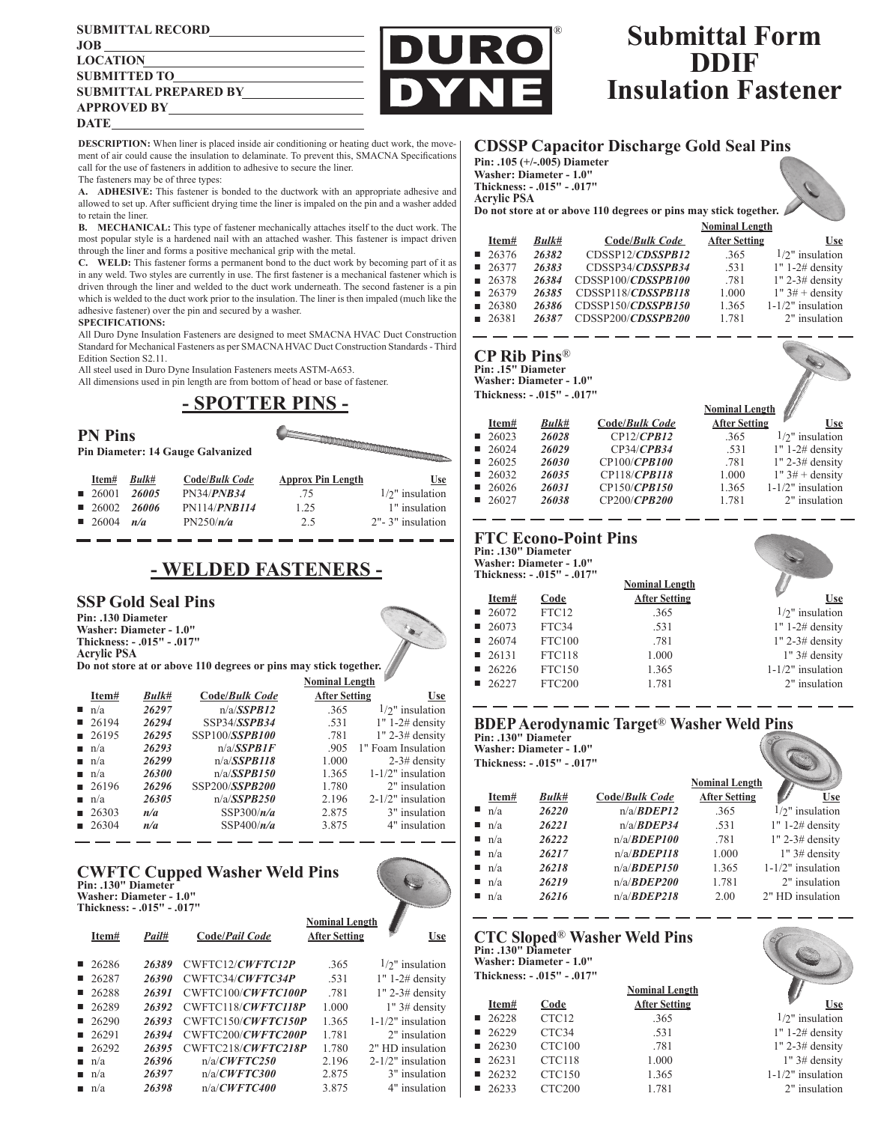#### **SUBMITTAL RECORD JOB LOCATION SUBMITTED TO SUBMITTAL PREPARED BY APPROVED BY DATE**

**DESCRIPTION:** When liner is placed inside air conditioning or heating duct work, the movement of air could cause the insulation to delaminate. To prevent this, SMACNA Specifications call for the use of fasteners in addition to adhesive to secure the liner.

The fasteners may be of three types:

**A. ADHESIVE:** This fastener is bonded to the ductwork with an appropriate adhesive and allowed to set up. After sufficient drying time the liner is impaled on the pin and a washer added to retain the liner.

**B. MECHANICAL:** This type of fastener mechanically attaches itself to the duct work. The most popular style is a hardened nail with an attached washer. This fastener is impact driven through the liner and forms a positive mechanical grip with the metal.

**C. WELD:** This fastener forms a permanent bond to the duct work by becoming part of it as in any weld. Two styles are currently in use. The first fastener is a mechanical fastener which is driven through the liner and welded to the duct work underneath. The second fastener is a pin which is welded to the duct work prior to the insulation. The liner is then impaled (much like the adhesive fastener) over the pin and secured by a washer.

#### **SPECIFICATIONS:**

All Duro Dyne Insulation Fasteners are designed to meet SMACNA HVAC Duct Construction Standard for Mechanical Fasteners as per SMACNA HVAC Duct Construction Standards - Third Edition Section S2.11.

All steel used in Duro Dyne Insulation Fasteners meets ASTM-A653.

All dimensions used in pin length are from bottom of head or base of fastener.

## **- SPOTTER PINS -**



# **- WELDED FASTENERS -**

### **SSP Gold Seal Pins**

**Pin: .130 Diameter Washer: Diameter - 1.0" Thickness: - .015" - .017" Acrylic PSA**

**Do not store at or above 110 degrees or pins may stick together.**

|                             |                      |       | типпин плите   |                      |                      |
|-----------------------------|----------------------|-------|----------------|----------------------|----------------------|
|                             | Item#                | Bulk# | Code/Bulk Code | <b>After Setting</b> | <u>Use</u>           |
| $\mathcal{L}_{\mathcal{A}}$ | n/a                  | 26297 | n/a/SSPB12     | .365                 | $1/2$ " insulation   |
|                             | 26194                | 26294 | SSP34/SSPB34   | .531                 | $1" 1-2# density$    |
|                             | $\blacksquare$ 26195 | 26295 | SSP100/SSPB100 | .781                 | $1"$ 2-3# density    |
|                             | $\blacksquare$ n/a   | 26293 | n/a/SSPB1F     | .905                 | 1" Foam Insulation   |
|                             | $\blacksquare$ n/a   | 26299 | n/a/SSPB118    | 1.000                | $2-3$ # density      |
|                             | $\blacksquare$ n/a   | 26300 | n/a/SSPB150    | 1.365                | $1-1/2"$ insulation  |
|                             | $\blacksquare$ 26196 | 26296 | SSP200/SSPB200 | 1.780                | 2" insulation        |
|                             | $\blacksquare$ n/a   | 26305 | n/a/SSPB250    | 2.196                | $2-1/2$ " insulation |
|                             | $\blacksquare$ 26303 | n/a   | SSP300/ $n/a$  | 2.875                | 3" insulation        |
|                             | $\blacksquare$ 26304 | n/a   | SSP400/ $n/a$  | 3.875                | 4" insulation        |
|                             |                      |       |                |                      |                      |

**Nominal Length**

# **CWFTC Cupped Washer Weld Pins Pin: .130" Diameter**



# **Submittal Form DDIF Insulation Fastener**

### **CDSSP Capacitor Discharge Gold Seal Pins**

**Pin: .105 (+/-.005) Diameter Washer: Diameter - 1.0" Thickness: - .015" - .017" Acrylic PSA**

®

R



|                      |       |                    | <b>Nominal Length</b> |                      |
|----------------------|-------|--------------------|-----------------------|----------------------|
| Item#                | Bulk# | Code/Bulk Code     | <b>After Setting</b>  | <b>Use</b>           |
| 26376                | 26382 | CDSSP12/CDSSPB12   | .365                  | $1/2$ " insulation   |
| 26377                | 26383 | CDSSP34/CDSSPB34   | .531                  | $1" 1-2# density$    |
| 26378                | 26384 | CDSSP100/CDSSPB100 | .781                  | $1"$ 2-3# density    |
| $\blacksquare$ 26379 | 26385 | CDSSP118/CDSSPB118 | 1.000                 | $1"$ 3# + density    |
| 26380                | 26386 | CDSSP150/CDSSPB150 | 1.365                 | $1-1/2$ " insulation |
| $\blacksquare$ 26381 | 26387 | CDSSP200/CDSSPB200 | 1.781                 | 2" insulation        |

### **CP Rib Pins**®

**Pin: .15" Diameter Washer: Diameter - 1.0" Thickness: - .015" - .017"**

|                      |       |                  | <b>Nominal Length</b> |                     |  |
|----------------------|-------|------------------|-----------------------|---------------------|--|
| Item#                | Bulk# | Code/Bulk Code   | <b>After Setting</b>  | Use                 |  |
| $\blacksquare$ 26023 | 26028 | $CP12$ / $CPB12$ | .365                  | $1/2$ " insulation  |  |
| 26024                | 26029 | CP34/CPB34       | .531                  | $1" 1-2# density$   |  |
| 26025                | 26030 | CP100/CPB100     | .781                  | $1"$ 2-3# density   |  |
| 26032                | 26035 | CP118/CPB118     | 1.000                 | $1"$ 3# + density   |  |
| 26026                | 26031 | CP150/CPB150     | 1.365                 | $1-1/2"$ insulation |  |
| 26027                | 26038 | CP200/CPB200     | 1.781                 | 2" insulation       |  |

# **FTC Econo-Point Pins Pin: .130" Diameter**

**Washer: Diameter - 1.0" Thickness: - .015" - .017"**

| $1$ and $1$ and $-1$ and $-1$ and $-1$ and $-1$ |                      |               |                       |                      |
|-------------------------------------------------|----------------------|---------------|-----------------------|----------------------|
|                                                 |                      |               | <b>Nominal Length</b> |                      |
|                                                 | Item#                | Code          | <b>After Setting</b>  | <b>Use</b>           |
|                                                 | 26072                | FTC12         | .365                  | $1/2$ " insulation   |
|                                                 | $\blacksquare$ 26073 | FTC34         | .531                  | $1" 1-2# density$    |
|                                                 | 26074                | <b>FTC100</b> | .781                  | $1"$ 2-3# density    |
|                                                 | $\blacksquare$ 26131 | <b>FTC118</b> | 1.000                 | $1"$ 3# density      |
|                                                 | 26226                | <b>FTC150</b> | 1.365                 | $1-1/2$ " insulation |
|                                                 | 26227                | <b>FTC200</b> | 1.781                 | 2" insulation        |
|                                                 |                      |               |                       |                      |

#### **BDEP Aerodynamic Target**® **Washer Weld Pins Pin: .130" Diameter**

**Washer: Diameter - 1.0" Thickness: - .015" - .017"**

|                    |       |                        | <b>Nominal Length</b> |                     |
|--------------------|-------|------------------------|-----------------------|---------------------|
| Item#              | Bulk# | Code/Bulk Code         | <b>After Setting</b>  | <b>Use</b>          |
| n/a                | 26220 | $n/a$ / <i>BDEP12</i>  | .365                  | $1/2$ " insulation  |
| $\blacksquare$ n/a | 26221 | $n/a$ / <i>BDEP34</i>  | .531                  | $1" 1-2# density$   |
| $\blacksquare$ n/a | 26222 | $n/a$ / <i>BDEP100</i> | .781                  | $1"$ 2-3# density   |
| $\blacksquare$ n/a | 26217 | $n/a$ / <i>BDEP118</i> | 1.000                 | $1"$ 3# density     |
| $\blacksquare$ n/a | 26218 | $n/a$ / <i>BDEP150</i> | 1.365                 | $1-1/2"$ insulation |
| $\blacksquare$ n/a | 26219 | $n/a$ / <i>BDEP200</i> | 1.781                 | 2" insulation       |
| n/a                | 26216 | $n/a$ / <i>BDEP218</i> | 2.00                  | 2" HD insulation    |

### **CTC Sloped**® **Washer Weld Pins Pin: .130" Diameter**

**Washer: Diameter - 1.0" Thickness: - .015" - .017"**

|                      |                    | <b>Nominal Length</b> |                     |
|----------------------|--------------------|-----------------------|---------------------|
| Item#                | Code               | <b>After Setting</b>  | Use                 |
| 26228                | CTC <sub>12</sub>  | .365                  | $1/2$ " insulation  |
| 26229                | CTC34              | .531                  | $1" 1-2# density$   |
| 26230                | CTC <sub>100</sub> | .781                  | $1"$ 2-3# density   |
| 26231                | CTC118             | 1.000                 | $1"$ 3# density     |
| 26232                | CTC <sub>150</sub> | 1.365                 | $1-1/2"$ insulation |
| $\blacksquare$ 26233 | CTC <sub>200</sub> | 1.781                 | 2" insulation       |